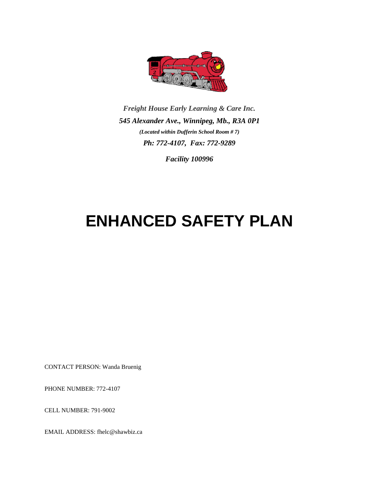

*Freight House Early Learning & Care Inc. 545 Alexander Ave., Winnipeg, Mb., R3A 0P1 (Located within Dufferin School Room # 7) Ph: 772-4107, Fax: 772-9289*

*Facility 100996*

# **ENHANCED SAFETY PLAN**

CONTACT PERSON: Wanda Bruenig

PHONE NUMBER: 772-4107

CELL NUMBER: 791-9002

EMAIL ADDRESS: fhelc@shawbiz.ca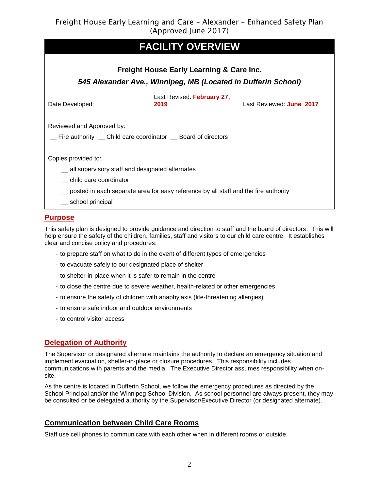## **FACILITY OVERVIEW**

**Freight House Early Learning & Care Inc.** *545 Alexander Ave., Winnipeg, MB (Located in Dufferin School)* Date Developed: Last Revised: **February 27, 2019** Last Reviewed: **June 2017** Reviewed and Approved by: \_\_ Fire authority \_\_ Child care coordinator \_\_ Board of directors Copies provided to: \_\_ all supervisory staff and designated alternates \_\_ child care coordinator \_\_ posted in each separate area for easy reference by all staff and the fire authority school principal

### **Purpose**

This safety plan is designed to provide guidance and direction to staff and the board of directors. This will help ensure the safety of the children, families, staff and visitors to our child care centre. It establishes clear and concise policy and procedures:

- to prepare staff on what to do in the event of different types of emergencies
- to evacuate safely to our designated place of shelter
- to shelter-in-place when it is safer to remain in the centre
- to close the centre due to severe weather, health-related or other emergencies
- to ensure the safety of children with anaphylaxis (life-threatening allergies)
- to ensure safe indoor and outdoor environments
- to control visitor access

## **Delegation of Authority**

The Supervisor or designated alternate maintains the authority to declare an emergency situation and implement evacuation, shelter-in-place or closure procedures. This responsibility includes communications with parents and the media. The Executive Director assumes responsibility when onsite.

As the centre is located in Dufferin School, we follow the emergency procedures as directed by the School Principal and/or the Winnipeg School Division. As school personnel are always present, they may be consulted or be delegated authority by the Supervisor/Executive Director (or designated alternate).

### **Communication between Child Care Rooms**

Staff use cell phones to communicate with each other when in different rooms or outside.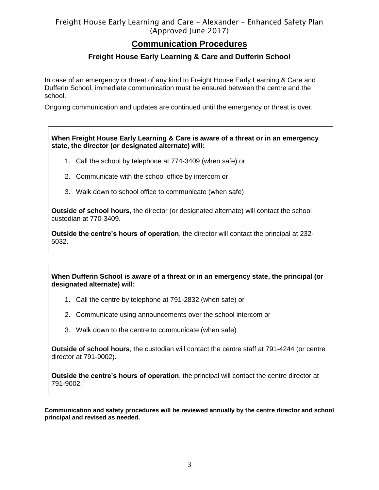## **Communication Procedures**

## **Freight House Early Learning & Care and Dufferin School**

In case of an emergency or threat of any kind to Freight House Early Learning & Care and Dufferin School, immediate communication must be ensured between the centre and the school.

Ongoing communication and updates are continued until the emergency or threat is over.

#### **When Freight House Early Learning & Care is aware of a threat or in an emergency state, the director (or designated alternate) will:**

- 1. Call the school by telephone at 774-3409 (when safe) or
- 2. Communicate with the school office by intercom or
- 3. Walk down to school office to communicate (when safe)

**Outside of school hours**, the director (or designated alternate) will contact the school custodian at 770-3409.

**Outside the centre's hours of operation**, the director will contact the principal at 232- 5032.

**When Dufferin School is aware of a threat or in an emergency state, the principal (or designated alternate) will:**

- 1. Call the centre by telephone at 791-2832 (when safe) or
- 2. Communicate using announcements over the school intercom or
- 3. Walk down to the centre to communicate (when safe)

**Outside of school hours**, the custodian will contact the centre staff at 791-4244 (or centre director at 791-9002).

**Outside the centre's hours of operation**, the principal will contact the centre director at 791-9002.

**Communication and safety procedures will be reviewed annually by the centre director and school principal and revised as needed.**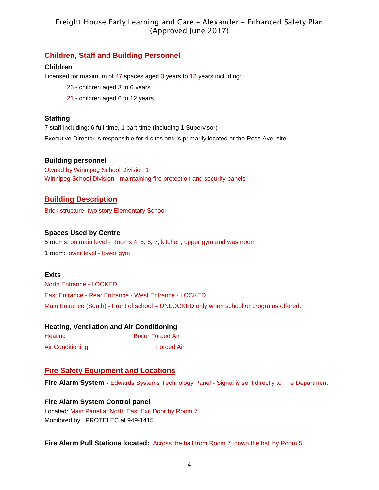## **Children, Staff and Building Personnel**

#### **Children**

Licensed for maximum of 47 spaces aged 3 years to 12 years including:

- 26 children aged 3 to 6 years
- 21 children aged 6 to 12 years

#### **Staffing**

7 staff including: 6 full-time, 1 part-time (including 1 Supervisor) Executive Director is responsible for 4 sites and is primarily located at the Ross Ave. site.

#### **Building personnel**

Owned by Winnipeg School Division 1 Winnipeg School Division - maintaining fire protection and security panels

#### **Building Description**

Brick structure, two story Elementary School

#### **Spaces Used by Centre**

5 rooms: on main level - Rooms 4, 5, 6, 7, kitchen, upper gym and washroom 1 room: lower level - lower gym

#### **Exits**

North Entrance - LOCKED East Entrance - Rear Entrance - West Entrance - LOCKED Main Entrance (South) - Front of school – UNLOCKED only when school or programs offered.

**Heating, Ventilation and Air Conditioning**  Heating **Boiler Forced Air** Air Conditioning **Forced Air** 

#### **Fire Safety Equipment and Locations**

**Fire Alarm System -** Edwards Systems Technology Panel - Signal is sent directly to Fire Department

**Fire Alarm System Control panel**  Located: Main Panel at North East Exit Door by Room 7 Monitored by: PROTELEC at 949-1415

**Fire Alarm Pull Stations located:** Across the hall from Room 7, down the hall by Room 5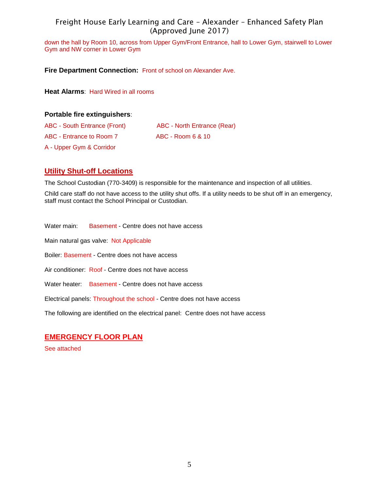down the hall by Room 10, across from Upper Gym/Front Entrance, hall to Lower Gym, stairwell to Lower Gym and NW corner in Lower Gym

**Fire Department Connection:** Front of school on Alexander Ave.

**Heat Alarms**: Hard Wired in all rooms

#### **Portable fire extinguishers**:

ABC - South Entrance (Front) ABC - North Entrance (Rear) ABC - Entrance to Room 7 ABC - Room 6 & 10 A - Upper Gym & Corridor

### **Utility Shut-off Locations**

The School Custodian (770-3409) is responsible for the maintenance and inspection of all utilities.

Child care staff do not have access to the utility shut offs. If a utility needs to be shut off in an emergency, staff must contact the School Principal or Custodian.

Water main: Basement - Centre does not have access

Main natural gas valve: Not Applicable

Boiler: Basement - Centre does not have access

Air conditioner: Roof - Centre does not have access

Water heater: Basement - Centre does not have access

Electrical panels: Throughout the school - Centre does not have access

The following are identified on the electrical panel: Centre does not have access

#### **EMERGENCY FLOOR PLAN**

See attached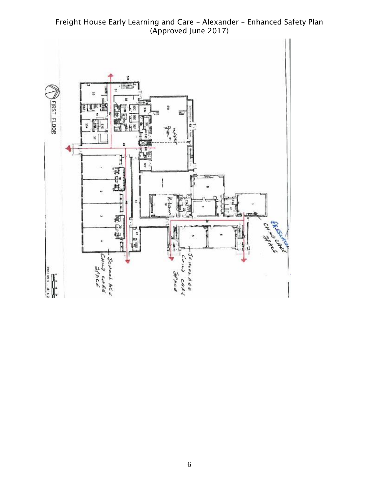

Freight House Early Learning and Care – Alexander – Enhanced Safety Plan (Approved June 2017)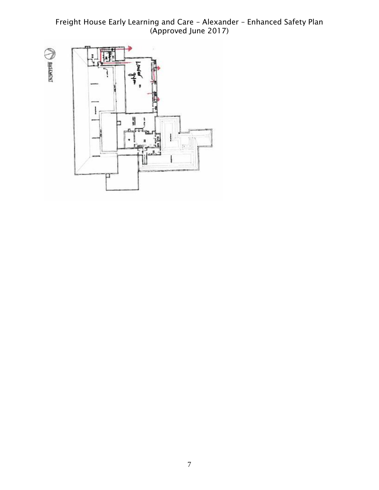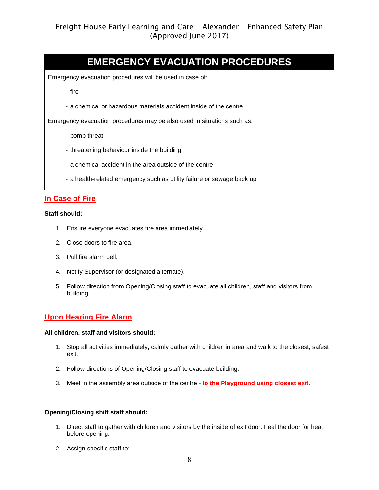## **EMERGENCY EVACUATION PROCEDURES**

Emergency evacuation procedures will be used in case of:

- fire
- a chemical or hazardous materials accident inside of the centre

Emergency evacuation procedures may be also used in situations such as:

- bomb threat
- threatening behaviour inside the building
- a chemical accident in the area outside of the centre
- a health-related emergency such as utility failure or sewage back up

#### **In Case of Fire**

#### **Staff should:**

- 1. Ensure everyone evacuates fire area immediately.
- 2. Close doors to fire area.
- 3. Pull fire alarm bell.
- 4. Notify Supervisor (or designated alternate).
- 5. Follow direction from Opening/Closing staff to evacuate all children, staff and visitors from building.

#### **Upon Hearing Fire Alarm**

#### **All children, staff and visitors should:**

- 1. Stop all activities immediately, calmly gather with children in area and walk to the closest, safest exit.
- 2. Follow directions of Opening/Closing staff to evacuate building.
- 3. Meet in the assembly area outside of the centre t**o the Playground using closest exit.**

#### **Opening/Closing shift staff should:**

- 1. Direct staff to gather with children and visitors by the inside of exit door. Feel the door for heat before opening.
- 2. Assign specific staff to: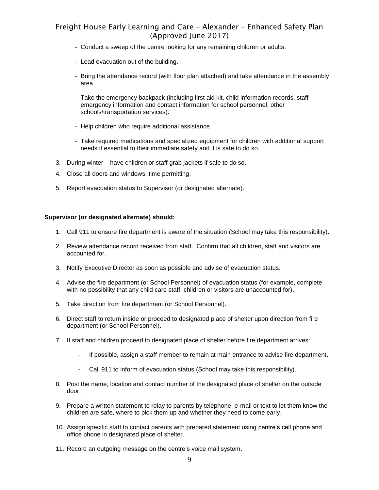- Conduct a sweep of the centre looking for any remaining children or adults.
- Lead evacuation out of the building.
- Bring the attendance record (with floor plan attached) and take attendance in the assembly area.
- Take the emergency backpack (including first aid kit, child information records, staff emergency information and contact information for school personnel, other schools/transportation services).
- Help children who require additional assistance.
- Take required medications and specialized equipment for children with additional support needs if essential to their immediate safety and it is safe to do so.
- 3. During winter have children or staff grab jackets if safe to do so.
- 4. Close all doors and windows, time permitting.
- 5. Report evacuation status to Supervisor (or designated alternate).

#### **Supervisor (or designated alternate) should:**

- 1. Call 911 to ensure fire department is aware of the situation (School may take this responsibility).
- 2. Review attendance record received from staff. Confirm that all children, staff and visitors are accounted for.
- 3. Notify Executive Director as soon as possible and advise of evacuation status.
- 4. Advise the fire department (or School Personnel) of evacuation status (for example, complete with no possibility that any child care staff, children or visitors are unaccounted for).
- 5. Take direction from fire department (or School Personnel).
- 6. Direct staff to return inside or proceed to designated place of shelter upon direction from fire department (or School Personnel).
- 7. If staff and children proceed to designated place of shelter before fire department arrives:
	- If possible, assign a staff member to remain at main entrance to advise fire department.
	- Call 911 to inform of evacuation status (School may take this responsibility).
- 8. Post the name, location and contact number of the designated place of shelter on the outside door.
- 9. Prepare a written statement to relay to parents by telephone, e-mail or text to let them know the children are safe, where to pick them up and whether they need to come early.
- 10. Assign specific staff to contact parents with prepared statement using centre's cell phone and office phone in designated place of shelter.
- 11. Record an outgoing message on the centre's voice mail system.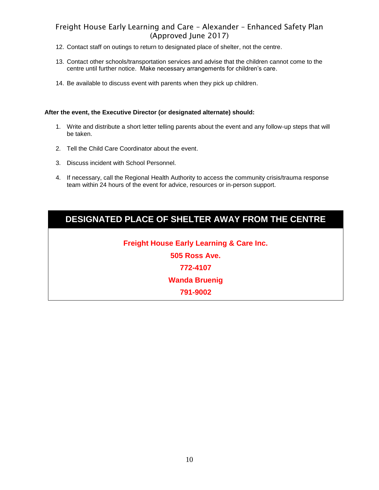- 12. Contact staff on outings to return to designated place of shelter, not the centre.
- 13. Contact other schools/transportation services and advise that the children cannot come to the centre until further notice. Make necessary arrangements for children's care.
- 14. Be available to discuss event with parents when they pick up children.

#### **After the event, the Executive Director (or designated alternate) should:**

- 1. Write and distribute a short letter telling parents about the event and any follow-up steps that will be taken.
- 2. Tell the Child Care Coordinator about the event.
- 3. Discuss incident with School Personnel.
- 4. If necessary, call the Regional Health Authority to access the community crisis/trauma response team within 24 hours of the event for advice, resources or in-person support.

## **DESIGNATED PLACE OF SHELTER AWAY FROM THE CENTRE**

**Freight House Early Learning & Care Inc. 505 Ross Ave. 772-4107 Wanda Bruenig 791-9002**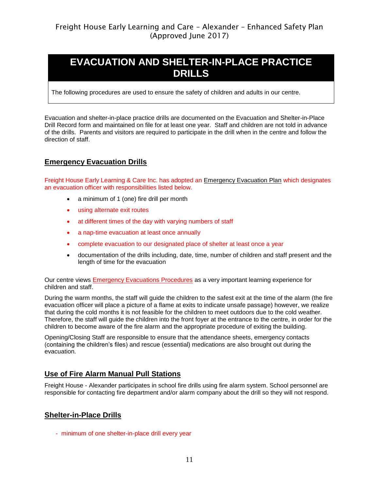## **EVACUATION AND SHELTER-IN-PLACE PRACTICE DRILLS**

The following procedures are used to ensure the safety of children and adults in our centre.

Evacuation and shelter-in-place practice drills are documented on the Evacuation and Shelter-in-Place Drill Record form and maintained on file for at least one year. Staff and children are not told in advance of the drills. Parents and visitors are required to participate in the drill when in the centre and follow the direction of staff.

### **Emergency Evacuation Drills**

Freight House Early Learning & Care Inc. has adopted an Emergency Evacuation Plan which designates an evacuation officer with responsibilities listed below.

- a minimum of 1 (one) fire drill per month
- using alternate exit routes
- at different times of the day with varying numbers of staff
- a nap-time evacuation at least once annually
- complete evacuation to our designated place of shelter at least once a year
- documentation of the drills including, date, time, number of children and staff present and the length of time for the evacuation

Our centre views Emergency Evacuations Procedures as a very important learning experience for children and staff.

During the warm months, the staff will guide the children to the safest exit at the time of the alarm (the fire evacuation officer will place a picture of a flame at exits to indicate unsafe passage) however, we realize that during the cold months it is not feasible for the children to meet outdoors due to the cold weather. Therefore, the staff will guide the children into the front foyer at the entrance to the centre, in order for the children to become aware of the fire alarm and the appropriate procedure of exiting the building.

Opening/Closing Staff are responsible to ensure that the attendance sheets, emergency contacts (containing the children's files) and rescue (essential) medications are also brought out during the evacuation.

### **Use of Fire Alarm Manual Pull Stations**

Freight House - Alexander participates in school fire drills using fire alarm system. School personnel are responsible for contacting fire department and/or alarm company about the drill so they will not respond.

### **Shelter-in-Place Drills**

- minimum of one shelter-in-place drill every year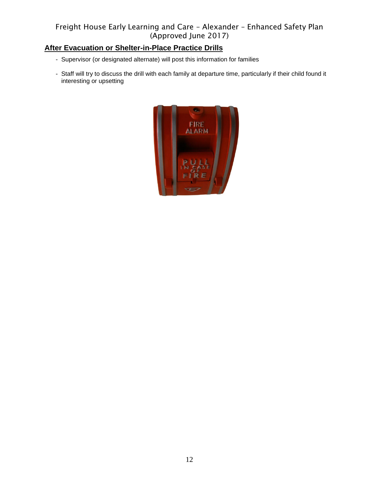## **After Evacuation or Shelter-in-Place Practice Drills**

- Supervisor (or designated alternate) will post this information for families
- Staff will try to discuss the drill with each family at departure time, particularly if their child found it interesting or upsetting

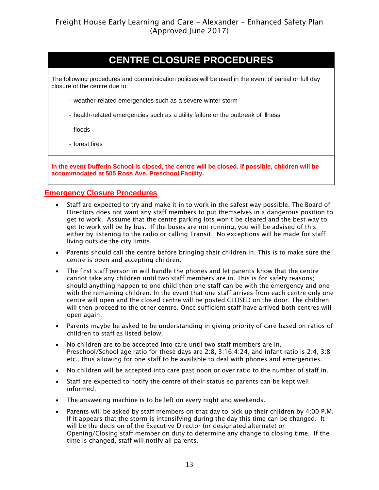## **CENTRE CLOSURE PROCEDURES**

The following procedures and communication policies will be used in the event of partial or full day closure of the centre due to:

- weather-related emergencies such as a severe winter storm
- health-related emergencies such as a utility failure or the outbreak of illness
- floods
- forest fires

**In the event Dufferin School is closed, the centre will be closed. If possible, children will be accommodated at 505 Ross Ave. Preschool Facility.**

### **Emergency Closure Procedures**

- Staff are expected to try and make it in to work in the safest way possible. The Board of Directors does not want any staff members to put themselves in a dangerous position to get to work. Assume that the centre parking lots won't be cleared and the best way to get to work will be by bus. If the buses are not running, you will be advised of this either by listening to the radio or calling Transit. No exceptions will be made for staff living outside the city limits.
- Parents should call the centre before bringing their children in. This is to make sure the centre is open and accepting children.
- The first staff person in will handle the phones and let parents know that the centre cannot take any children until two staff members are in. This is for safety reasons; should anything happen to one child then one staff can be with the emergency and one with the remaining children. In the event that one staff arrives from each centre only one centre will open and the closed centre will be posted CLOSED on the door. The children will then proceed to the other centre. Once sufficient staff have arrived both centres will open again.
- Parents maybe be asked to be understanding in giving priority of care based on ratios of children to staff as listed below.
- No children are to be accepted into care until two staff members are in. Preschool/School age ratio for these days are 2:8, 3:16,4:24, and infant ratio is 2:4, 3:8 etc., thus allowing for one staff to be available to deal with phones and emergencies.
- No children will be accepted into care past noon or over ratio to the number of staff in.
- Staff are expected to notify the centre of their status so parents can be kept well informed.
- The answering machine is to be left on every night and weekends.
- Parents will be asked by staff members on that day to pick up their children by 4:00 P.M. If it appears that the storm is intensifying during the day this time can be changed. It will be the decision of the Executive Director (or designated alternate) or Opening/Closing staff member on duty to determine any change to closing time. If the time is changed, staff will notify all parents.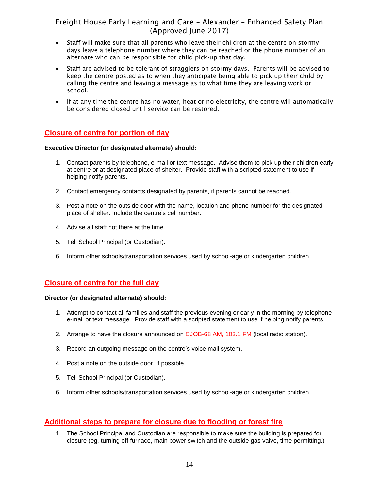- Staff will make sure that all parents who leave their children at the centre on stormy days leave a telephone number where they can be reached or the phone number of an alternate who can be responsible for child pick-up that day.
- Staff are advised to be tolerant of stragglers on stormy days. Parents will be advised to keep the centre posted as to when they anticipate being able to pick up their child by calling the centre and leaving a message as to what time they are leaving work or school.
- If at any time the centre has no water, heat or no electricity, the centre will automatically be considered closed until service can be restored.

### **Closure of centre for portion of day**

#### **Executive Director (or designated alternate) should:**

- 1. Contact parents by telephone, e-mail or text message. Advise them to pick up their children early at centre or at designated place of shelter. Provide staff with a scripted statement to use if helping notify parents.
- 2. Contact emergency contacts designated by parents, if parents cannot be reached.
- 3. Post a note on the outside door with the name, location and phone number for the designated place of shelter. Include the centre's cell number.
- 4. Advise all staff not there at the time.
- 5. Tell School Principal (or Custodian).
- 6. Inform other schools/transportation services used by school-age or kindergarten children.

### **Closure of centre for the full day**

#### **Director (or designated alternate) should:**

- 1. Attempt to contact all families and staff the previous evening or early in the morning by telephone, e-mail or text message. Provide staff with a scripted statement to use if helping notify parents.
- 2. Arrange to have the closure announced on CJOB-68 AM, 103.1 FM (local radio station).
- 3. Record an outgoing message on the centre's voice mail system.
- 4. Post a note on the outside door, if possible.
- 5. Tell School Principal (or Custodian).
- 6. Inform other schools/transportation services used by school-age or kindergarten children.

#### **Additional steps to prepare for closure due to flooding or forest fire**

1. The School Principal and Custodian are responsible to make sure the building is prepared for closure (eg. turning off furnace, main power switch and the outside gas valve, time permitting.)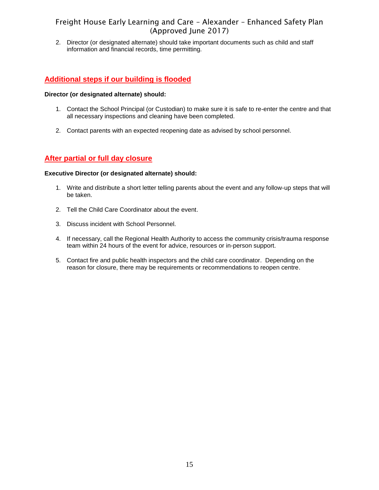2. Director (or designated alternate) should take important documents such as child and staff information and financial records, time permitting.

## **Additional steps if our building is flooded**

#### **Director (or designated alternate) should:**

- 1. Contact the School Principal (or Custodian) to make sure it is safe to re-enter the centre and that all necessary inspections and cleaning have been completed.
- 2. Contact parents with an expected reopening date as advised by school personnel.

## **After partial or full day closure**

#### **Executive Director (or designated alternate) should:**

- 1. Write and distribute a short letter telling parents about the event and any follow-up steps that will be taken.
- 2. Tell the Child Care Coordinator about the event.
- 3. Discuss incident with School Personnel.
- 4. If necessary, call the Regional Health Authority to access the community crisis/trauma response team within 24 hours of the event for advice, resources or in-person support.
- 5. Contact fire and public health inspectors and the child care coordinator. Depending on the reason for closure, there may be requirements or recommendations to reopen centre.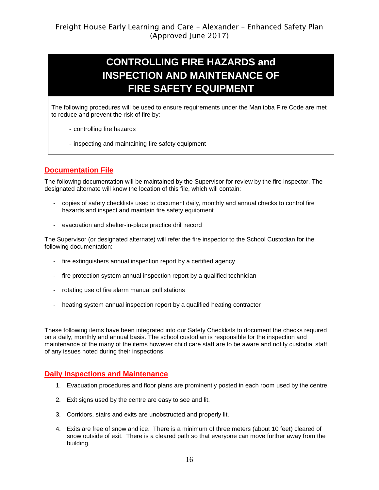## **CONTROLLING FIRE HAZARDS and INSPECTION AND MAINTENANCE OF FIRE SAFETY EQUIPMENT**

The following procedures will be used to ensure requirements under the Manitoba Fire Code are met to reduce and prevent the risk of fire by:

- controlling fire hazards
- inspecting and maintaining fire safety equipment

## **Documentation File**

The following documentation will be maintained by the Supervisor for review by the fire inspector. The designated alternate will know the location of this file, which will contain:

- copies of safety checklists used to document daily, monthly and annual checks to control fire hazards and inspect and maintain fire safety equipment
- evacuation and shelter-in-place practice drill record

The Supervisor (or designated alternate) will refer the fire inspector to the School Custodian for the following documentation:

- fire extinguishers annual inspection report by a certified agency
- fire protection system annual inspection report by a qualified technician
- rotating use of fire alarm manual pull stations
- heating system annual inspection report by a qualified heating contractor

These following items have been integrated into our Safety Checklists to document the checks required on a daily, monthly and annual basis. The school custodian is responsible for the inspection and maintenance of the many of the items however child care staff are to be aware and notify custodial staff of any issues noted during their inspections.

#### **Daily Inspections and Maintenance**

- 1. Evacuation procedures and floor plans are prominently posted in each room used by the centre.
- 2. Exit signs used by the centre are easy to see and lit.
- 3. Corridors, stairs and exits are unobstructed and properly lit.
- 4. Exits are free of snow and ice. There is a minimum of three meters (about 10 feet) cleared of snow outside of exit. There is a cleared path so that everyone can move further away from the building.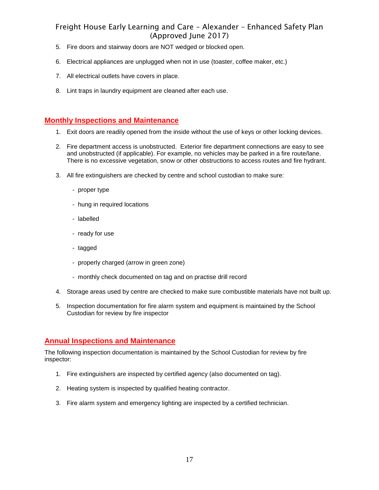- 5. Fire doors and stairway doors are NOT wedged or blocked open.
- 6. Electrical appliances are unplugged when not in use (toaster, coffee maker, etc.)
- 7. All electrical outlets have covers in place.
- 8. Lint traps in laundry equipment are cleaned after each use.

### **Monthly Inspections and Maintenance**

- 1. Exit doors are readily opened from the inside without the use of keys or other locking devices.
- 2. Fire department access is unobstructed. Exterior fire department connections are easy to see and unobstructed (if applicable). For example, no vehicles may be parked in a fire route/lane. There is no excessive vegetation, snow or other obstructions to access routes and fire hydrant.
- 3. All fire extinguishers are checked by centre and school custodian to make sure:
	- proper type
	- hung in required locations
	- labelled
	- ready for use
	- tagged
	- properly charged (arrow in green zone)
	- monthly check documented on tag and on practise drill record
- 4. Storage areas used by centre are checked to make sure combustible materials have not built up.
- 5. Inspection documentation for fire alarm system and equipment is maintained by the School Custodian for review by fire inspector

#### **Annual Inspections and Maintenance**

The following inspection documentation is maintained by the School Custodian for review by fire inspector:

- 1. Fire extinguishers are inspected by certified agency (also documented on tag).
- 2. Heating system is inspected by qualified heating contractor.
- 3. Fire alarm system and emergency lighting are inspected by a certified technician.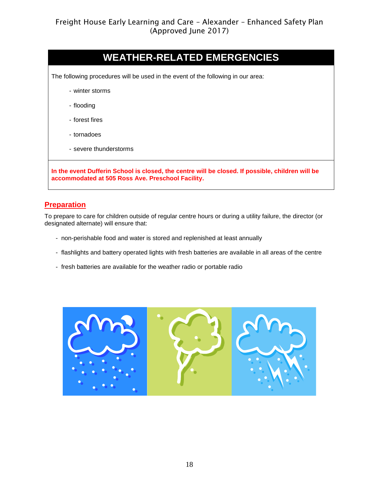## **WEATHER-RELATED EMERGENCIES**

The following procedures will be used in the event of the following in our area:

- winter storms
- flooding
- forest fires
- tornadoes
- severe thunderstorms

**In the event Dufferin School is closed, the centre will be closed. If possible, children will be accommodated at 505 Ross Ave. Preschool Facility.**

#### **Preparation**

To prepare to care for children outside of regular centre hours or during a utility failure, the director (or designated alternate) will ensure that:

- non-perishable food and water is stored and replenished at least annually
- flashlights and battery operated lights with fresh batteries are available in all areas of the centre
- fresh batteries are available for the weather radio or portable radio

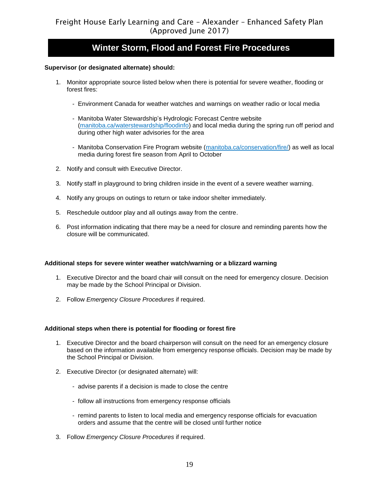## **Winter Storm, Flood and Forest Fire Procedures**

#### **Supervisor (or designated alternate) should:**

- 1. Monitor appropriate source listed below when there is potential for severe weather, flooding or forest fires:
	- Environment Canada for weather watches and warnings on weather radio or local media
	- Manitoba Water Stewardship's Hydrologic Forecast Centre website [\(manitoba.ca/waterstewardship/floodinfo\)](http://www.gov.mb.ca/waterstewardship/floodinfo) and local media during the spring run off period and during other high water advisories for the area
	- Manitoba Conservation Fire Program website [\(manitoba.ca/conservation/fire/\)](http://www.gov.mb.ca/conservation/fire/) as well as local media during forest fire season from April to October
- 2. Notify and consult with Executive Director.
- 3. Notify staff in playground to bring children inside in the event of a severe weather warning.
- 4. Notify any groups on outings to return or take indoor shelter immediately.
- 5. Reschedule outdoor play and all outings away from the centre.
- 6. Post information indicating that there may be a need for closure and reminding parents how the closure will be communicated.

#### **Additional steps for severe winter weather watch/warning or a blizzard warning**

- 1. Executive Director and the board chair will consult on the need for emergency closure. Decision may be made by the School Principal or Division.
- 2. Follow *Emergency Closure Procedures* if required.

#### **Additional steps when there is potential for flooding or forest fire**

- 1. Executive Director and the board chairperson will consult on the need for an emergency closure based on the information available from emergency response officials. Decision may be made by the School Principal or Division.
- 2. Executive Director (or designated alternate) will:
	- advise parents if a decision is made to close the centre
	- follow all instructions from emergency response officials
	- remind parents to listen to local media and emergency response officials for evacuation orders and assume that the centre will be closed until further notice
- 3. Follow *Emergency Closure Procedures* if required.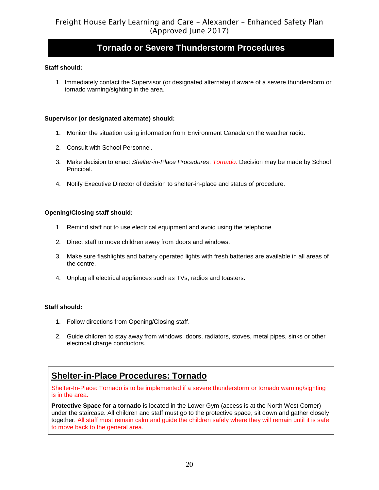## **Tornado or Severe Thunderstorm Procedures**

#### **Staff should:**

1. Immediately contact the Supervisor (or designated alternate) if aware of a severe thunderstorm or tornado warning/sighting in the area.

#### **Supervisor (or designated alternate) should:**

- 1. Monitor the situation using information from Environment Canada on the weather radio.
- 2. Consult with School Personnel.
- 3. Make decision to enact *Shelter-in-Place Procedures*: *Tornado.* Decision may be made by School Principal.
- 4. Notify Executive Director of decision to shelter-in-place and status of procedure.

#### **Opening/Closing staff should:**

- 1. Remind staff not to use electrical equipment and avoid using the telephone.
- 2. Direct staff to move children away from doors and windows.
- 3. Make sure flashlights and battery operated lights with fresh batteries are available in all areas of the centre.
- 4. Unplug all electrical appliances such as TVs, radios and toasters.

#### **Staff should:**

- 1. Follow directions from Opening/Closing staff.
- 2. Guide children to stay away from windows, doors, radiators, stoves, metal pipes, sinks or other electrical charge conductors.

## **Shelter-in-Place Procedures: Tornado**

Shelter-In-Place: Tornado is to be implemented if a severe thunderstorm or tornado warning/sighting is in the area.

**Protective Space for a tornado** is located in the Lower Gym (access is at the North West Corner) under the staircase. All children and staff must go to the protective space, sit down and gather closely together. All staff must remain calm and guide the children safely where they will remain until it is safe to move back to the general area.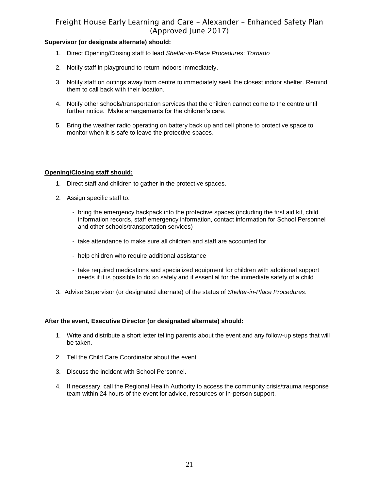#### **Supervisor (or designate alternate) should:**

- 1. Direct Opening/Closing staff to lead *Shelter-in-Place Procedures*: *Tornado*
- 2. Notify staff in playground to return indoors immediately.
- 3. Notify staff on outings away from centre to immediately seek the closest indoor shelter. Remind them to call back with their location.
- 4. Notify other schools/transportation services that the children cannot come to the centre until further notice. Make arrangements for the children's care.
- 5. Bring the weather radio operating on battery back up and cell phone to protective space to monitor when it is safe to leave the protective spaces.

#### **Opening/Closing staff should:**

- 1. Direct staff and children to gather in the protective spaces.
- 2. Assign specific staff to:
	- bring the emergency backpack into the protective spaces (including the first aid kit, child information records, staff emergency information, contact information for School Personnel and other schools/transportation services)
	- take attendance to make sure all children and staff are accounted for
	- help children who require additional assistance
	- take required medications and specialized equipment for children with additional support needs if it is possible to do so safely and if essential for the immediate safety of a child
- 3. Advise Supervisor (or designated alternate) of the status of *Shelter-in-Place Procedures*.

#### **After the event, Executive Director (or designated alternate) should:**

- 1. Write and distribute a short letter telling parents about the event and any follow-up steps that will be taken.
- 2. Tell the Child Care Coordinator about the event.
- 3. Discuss the incident with School Personnel.
- 4. If necessary, call the Regional Health Authority to access the community crisis/trauma response team within 24 hours of the event for advice, resources or in-person support.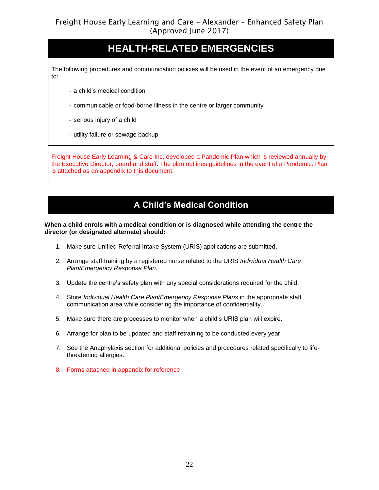## **HEALTH-RELATED EMERGENCIES**

The following procedures and communication policies will be used in the event of an emergency due to:

- a child's medical condition
- communicable or food-borne illness in the centre or larger community
- serious injury of a child
- utility failure or sewage backup

Freight House Early Learning & Care Inc. developed a Pandemic Plan which is reviewed annually by the Executive Director, board and staff. The plan outlines guidelines in the event of a Pandemic: Plan is attached as an appendix to this document.

## **A Child's Medical Condition**

#### **When a child enrols with a medical condition or is diagnosed while attending the centre the director (or designated alternate) should:**

- 1. Make sure Unified Referral Intake System (URIS) applications are submitted.
- 2. Arrange staff training by a registered nurse related to the URIS *Individual Health Care Plan/Emergency Response Plan*.
- 3. Update the centre's safety plan with any special considerations required for the child.
- 4. Store *Individual Health Care Plan/Emergency Response Plans* in the appropriate staff communication area while considering the importance of confidentiality.
- 5. Make sure there are processes to monitor when a child's URIS plan will expire.
- 6. Arrange for plan to be updated and staff retraining to be conducted every year.
- 7. See the Anaphylaxis section for additional policies and procedures related specifically to lifethreatening allergies.
- 8. Forms attached in appendix for reference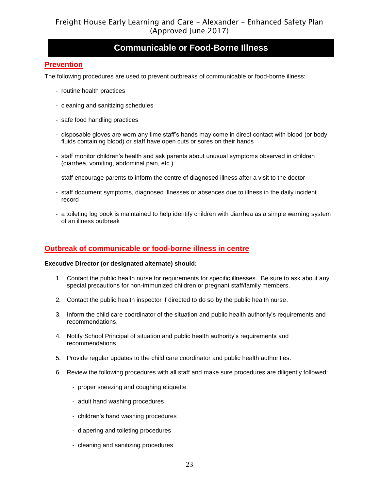## **Communicable or Food-Borne Illness**

### **Prevention**

The following procedures are used to prevent outbreaks of communicable or food-borne illness:

- routine health practices
- cleaning and sanitizing schedules
- safe food handling practices
- disposable gloves are worn any time staff's hands may come in direct contact with blood (or body fluids containing blood) or staff have open cuts or sores on their hands
- staff monitor children's health and ask parents about unusual symptoms observed in children (diarrhea, vomiting, abdominal pain, etc.)
- staff encourage parents to inform the centre of diagnosed illness after a visit to the doctor
- staff document symptoms, diagnosed illnesses or absences due to illness in the daily incident record
- a toileting log book is maintained to help identify children with diarrhea as a simple warning system of an illness outbreak

### **Outbreak of communicable or food-borne illness in centre**

#### **Executive Director (or designated alternate) should:**

- 1. Contact the public health nurse for requirements for specific illnesses. Be sure to ask about any special precautions for non-immunized children or pregnant staff/family members.
- 2. Contact the public health inspector if directed to do so by the public health nurse.
- 3. Inform the child care coordinator of the situation and public health authority's requirements and recommendations.
- 4. Notify School Principal of situation and public health authority's requirements and recommendations.
- 5. Provide regular updates to the child care coordinator and public health authorities.
- 6. Review the following procedures with all staff and make sure procedures are diligently followed:
	- proper sneezing and coughing etiquette
	- adult hand washing procedures
	- children's hand washing procedures
	- diapering and toileting procedures
	- cleaning and sanitizing procedures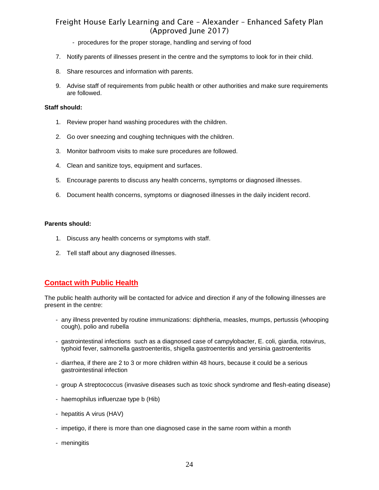- procedures for the proper storage, handling and serving of food
- 7. Notify parents of illnesses present in the centre and the symptoms to look for in their child.
- 8. Share resources and information with parents.
- 9. Advise staff of requirements from public health or other authorities and make sure requirements are followed.

#### **Staff should:**

- 1. Review proper hand washing procedures with the children.
- 2. Go over sneezing and coughing techniques with the children.
- 3. Monitor bathroom visits to make sure procedures are followed.
- 4. Clean and sanitize toys, equipment and surfaces.
- 5. Encourage parents to discuss any health concerns, symptoms or diagnosed illnesses.
- 6. Document health concerns, symptoms or diagnosed illnesses in the daily incident record.

#### **Parents should:**

- 1. Discuss any health concerns or symptoms with staff.
- 2. Tell staff about any diagnosed illnesses.

### **Contact with Public Health**

The public health authority will be contacted for advice and direction if any of the following illnesses are present in the centre:

- any illness prevented by routine immunizations: diphtheria, measles, mumps, pertussis (whooping cough), polio and rubella
- gastrointestinal infections such as a diagnosed case of campylobacter, E. coli, giardia, rotavirus, typhoid fever, salmonella gastroenteritis, shigella gastroenteritis and yersinia gastroenteritis
- diarrhea, if there are 2 to 3 or more children within 48 hours, because it could be a serious gastrointestinal infection
- group A streptococcus (invasive diseases such as toxic shock syndrome and flesh-eating disease)
- haemophilus influenzae type b (Hib)
- hepatitis A virus (HAV)
- impetigo, if there is more than one diagnosed case in the same room within a month
- meningitis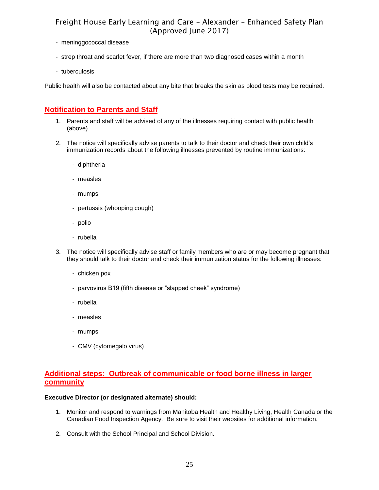- meninggococcal disease
- strep throat and scarlet fever, if there are more than two diagnosed cases within a month
- tuberculosis

Public health will also be contacted about any bite that breaks the skin as blood tests may be required.

### **Notification to Parents and Staff**

- 1. Parents and staff will be advised of any of the illnesses requiring contact with public health (above).
- 2. The notice will specifically advise parents to talk to their doctor and check their own child's immunization records about the following illnesses prevented by routine immunizations:
	- diphtheria
	- measles
	- mumps
	- pertussis (whooping cough)
	- polio
	- rubella
- 3. The notice will specifically advise staff or family members who are or may become pregnant that they should talk to their doctor and check their immunization status for the following illnesses:
	- chicken pox
	- parvovirus B19 (fifth disease or "slapped cheek" syndrome)
	- rubella
	- measles
	- mumps
	- CMV (cytomegalo virus)

### **Additional steps: Outbreak of communicable or food borne illness in larger community**

#### **Executive Director (or designated alternate) should:**

- 1. Monitor and respond to warnings from Manitoba Health and Healthy Living, Health Canada or the Canadian Food Inspection Agency. Be sure to visit their websites for additional information.
- 2. Consult with the School Principal and School Division.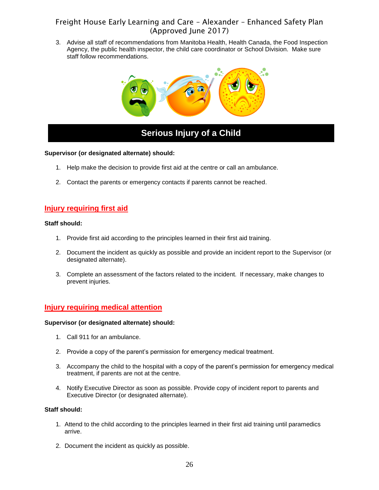3. Advise all staff of recommendations from Manitoba Health, Health Canada, the Food Inspection Agency, the public health inspector, the child care coordinator or School Division. Make sure staff follow recommendations.



## **Serious Injury of a Child**

#### **Supervisor (or designated alternate) should:**

- 1. Help make the decision to provide first aid at the centre or call an ambulance.
- 2. Contact the parents or emergency contacts if parents cannot be reached.

### **Injury requiring first aid**

#### **Staff should:**

- 1. Provide first aid according to the principles learned in their first aid training.
- 2. Document the incident as quickly as possible and provide an incident report to the Supervisor (or designated alternate).
- 3. Complete an assessment of the factors related to the incident. If necessary, make changes to prevent injuries.

#### **Injury requiring medical attention**

#### **Supervisor (or designated alternate) should:**

- 1. Call 911 for an ambulance.
- 2. Provide a copy of the parent's permission for emergency medical treatment.
- 3. Accompany the child to the hospital with a copy of the parent's permission for emergency medical treatment, if parents are not at the centre.
- 4. Notify Executive Director as soon as possible. Provide copy of incident report to parents and Executive Director (or designated alternate).

#### **Staff should:**

- 1. Attend to the child according to the principles learned in their first aid training until paramedics arrive.
- 2. Document the incident as quickly as possible.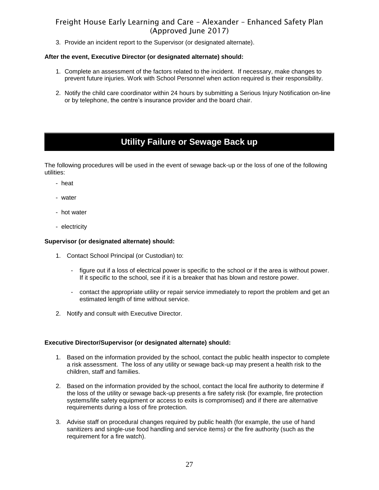3. Provide an incident report to the Supervisor (or designated alternate).

#### **After the event, Executive Director (or designated alternate) should:**

- 1. Complete an assessment of the factors related to the incident. If necessary, make changes to prevent future injuries. Work with School Personnel when action required is their responsibility.
- 2. Notify the child care coordinator within 24 hours by submitting a Serious Injury Notification on-line or by telephone, the centre's insurance provider and the board chair.

## **Utility Failure or Sewage Back up**

The following procedures will be used in the event of sewage back-up or the loss of one of the following utilities:

- heat
- water
- hot water
- electricity

#### **Supervisor (or designated alternate) should:**

- 1. Contact School Principal (or Custodian) to:
	- figure out if a loss of electrical power is specific to the school or if the area is without power. If it specific to the school, see if it is a breaker that has blown and restore power.
	- contact the appropriate utility or repair service immediately to report the problem and get an estimated length of time without service.
- 2. Notify and consult with Executive Director.

#### **Executive Director/Supervisor (or designated alternate) should:**

- 1. Based on the information provided by the school, contact the public health inspector to complete a risk assessment. The loss of any utility or sewage back-up may present a health risk to the children, staff and families.
- 2. Based on the information provided by the school, contact the local fire authority to determine if the loss of the utility or sewage back-up presents a fire safety risk (for example, fire protection systems/life safety equipment or access to exits is compromised) and if there are alternative requirements during a loss of fire protection.
- 3. Advise staff on procedural changes required by public health (for example, the use of hand sanitizers and single-use food handling and service items) or the fire authority (such as the requirement for a fire watch).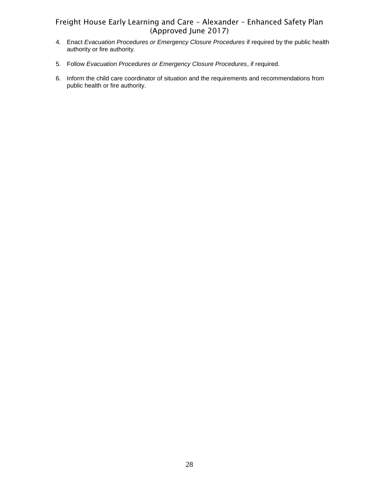- 4. Enact *Evacuation Procedures or Emergency Closure Procedures* if required by the public health authority or fire authority.
- 5. Follow *Evacuation Procedures or Emergency Closure Procedures*, if required.
- 6. Inform the child care coordinator of situation and the requirements and recommendations from public health or fire authority.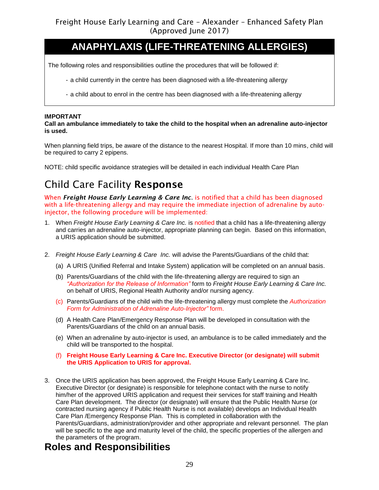## **ANAPHYLAXIS (LIFE-THREATENING ALLERGIES)**

The following roles and responsibilities outline the procedures that will be followed if:

- a child currently in the centre has been diagnosed with a life-threatening allergy

- a child about to enrol in the centre has been diagnosed with a life-threatening allergy

#### **IMPORTANT**

**Call an ambulance immediately to take the child to the hospital when an adrenaline auto-injector is used.**

When planning field trips, be aware of the distance to the nearest Hospital. If more than 10 mins, child will be required to carry 2 epipens.

NOTE: child specific avoidance strategies will be detailed in each individual Health Care Plan

## Child Care Facility **Response**

When *Freight House Early Learning & Care Inc*. is notified that a child has been diagnosed with a life-threatening allergy and may require the immediate injection of adrenaline by autoinjector, the following procedure will be implemented:

- 1. When *Freight House Early Learning & Care Inc.* is notified that a child has a life-threatening allergy and carries an adrenaline auto-injector, appropriate planning can begin. Based on this information, a URIS application should be submitted.
- 2. *Freight House Early Learning & Care Inc.* will advise the Parents/Guardians of the child that:
	- (a) A URIS (Unified Referral and Intake System) application will be completed on an annual basis.
	- (b) Parents/Guardians of the child with the life-threatening allergy are required to sign an *"Authorization for the Release of Information"* form to *Freight House Early Learning & Care Inc.*  on behalf of URIS, Regional Health Authority and/or nursing agency.
	- (c) Parents/Guardians of the child with the life-threatening allergy must complete the *Authorization Form for Administration of Adrenaline Auto-Injector"* form.
	- (d) A Health Care Plan/Emergency Response Plan will be developed in consultation with the Parents/Guardians of the child on an annual basis.
	- (e) When an adrenaline by auto-injector is used, an ambulance is to be called immediately and the child will be transported to the hospital.
	- (f) **Freight House Early Learning & Care Inc. Executive Director (or designate) will submit the URIS Application to URIS for approval.**
- 3. Once the URIS application has been approved, the Freight House Early Learning & Care Inc. Executive Director (or designate) is responsible for telephone contact with the nurse to notify him/her of the approved URIS application and request their services for staff training and Health Care Plan development. The director (or designate) will ensure that the Public Health Nurse (or contracted nursing agency if Public Health Nurse is not available) develops an Individual Health Care Plan /Emergency Response Plan. This is completed in collaboration with the Parents/Guardians, administration/provider and other appropriate and relevant personnel. The plan will be specific to the age and maturity level of the child, the specific properties of the allergen and the parameters of the program.

## **Roles and Responsibilities**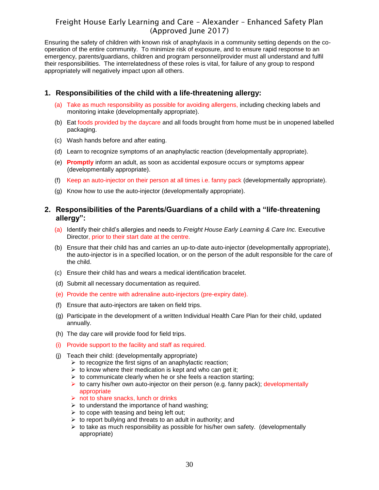Ensuring the safety of children with known risk of anaphylaxis in a community setting depends on the cooperation of the entire community. To minimize risk of exposure, and to ensure rapid response to an emergency, parents/guardians, children and program personnel/provider must all understand and fulfil their responsibilities. The interrelatedness of these roles is vital, for failure of any group to respond appropriately will negatively impact upon all others.

### **1. Responsibilities of the child with a life-threatening allergy:**

- (a) Take as much responsibility as possible for avoiding allergens, including checking labels and monitoring intake (developmentally appropriate).
- (b) Eat foods provided by the daycare and all foods brought from home must be in unopened labelled packaging.
- (c) Wash hands before and after eating.
- (d) Learn to recognize symptoms of an anaphylactic reaction (developmentally appropriate).
- (e) **Promptly** inform an adult, as soon as accidental exposure occurs or symptoms appear (developmentally appropriate).
- (f) Keep an auto-injector on their person at all times i.e. fanny pack (developmentally appropriate).
- (g) Know how to use the auto-injector (developmentally appropriate).

### **2. Responsibilities of the Parents/Guardians of a child with a "life-threatening allergy":**

- (a) Identify their child's allergies and needs to *Freight House Early Learning & Care Inc.* Executive Director, prior to their start date at the centre.
- (b) Ensure that their child has and carries an up-to-date auto-injector (developmentally appropriate), the auto-injector is in a specified location, or on the person of the adult responsible for the care of the child.
- (c) Ensure their child has and wears a medical identification bracelet.
- (d) Submit all necessary documentation as required.
- (e) Provide the centre with adrenaline auto-injectors (pre-expiry date).
- (f) Ensure that auto-injectors are taken on field trips.
- (g) Participate in the development of a written Individual Health Care Plan for their child, updated annually.
- (h) The day care will provide food for field trips.
- (i) Provide support to the facility and staff as required.
- (j) Teach their child: (developmentally appropriate)
	- $\triangleright$  to recognize the first signs of an anaphylactic reaction;
	- $\triangleright$  to know where their medication is kept and who can get it;
	- $\triangleright$  to communicate clearly when he or she feels a reaction starting;
	- $\triangleright$  to carry his/her own auto-injector on their person (e.g. fanny pack); developmentally appropriate
	- $\triangleright$  not to share snacks, lunch or drinks
	- $\triangleright$  to understand the importance of hand washing;
	- $\triangleright$  to cope with teasing and being left out;
	- $\triangleright$  to report bullying and threats to an adult in authority; and
	- $\triangleright$  to take as much responsibility as possible for his/her own safety. (developmentally appropriate)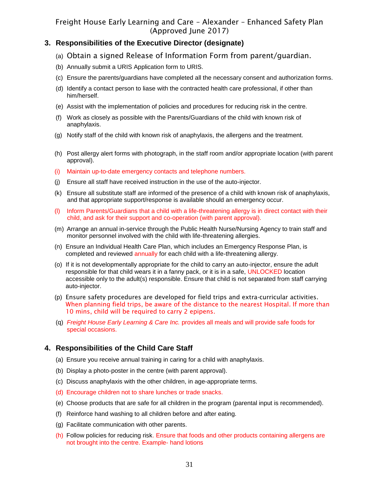### **3. Responsibilities of the Executive Director (designate)**

- (a) Obtain a signed Release of Information Form from parent/guardian.
- (b) Annually submit a URIS Application form to URIS.
- (c) Ensure the parents/guardians have completed all the necessary consent and authorization forms.
- (d) Identify a contact person to liase with the contracted health care professional, if other than him/herself.
- (e) Assist with the implementation of policies and procedures for reducing risk in the centre.
- (f) Work as closely as possible with the Parents/Guardians of the child with known risk of anaphylaxis.
- (g) Notify staff of the child with known risk of anaphylaxis, the allergens and the treatment.
- (h) Post allergy alert forms with photograph, in the staff room and/or appropriate location (with parent approval).
- (i) Maintain up-to-date emergency contacts and telephone numbers.
- (j) Ensure all staff have received instruction in the use of the auto-injector.
- (k) Ensure all substitute staff are informed of the presence of a child with known risk of anaphylaxis, and that appropriate support/response is available should an emergency occur.
- (l) Inform Parents/Guardians that a child with a life-threatening allergy is in direct contact with their child, and ask for their support and co-operation (with parent approval).
- (m) Arrange an annual in-service through the Public Health Nurse/Nursing Agency to train staff and monitor personnel involved with the child with life-threatening allergies.
- (n) Ensure an Individual Health Care Plan, which includes an Emergency Response Plan, is completed and reviewed annually for each child with a life-threatening allergy.
- (o) If it is not developmentally appropriate for the child to carry an auto-injector, ensure the adult responsible for that child wears it in a fanny pack, or it is in a safe, UNLOCKED location accessible only to the adult(s) responsible. Ensure that child is not separated from staff carrying auto-injector.
- (p) Ensure safety procedures are developed for field trips and extra-curricular activities. When planning field trips, be aware of the distance to the nearest Hospital. If more than 10 mins, child will be required to carry 2 epipens.
- (q) *Freight House Early Learning & Care Inc.* provides all meals and will provide safe foods for special occasions.

#### **4. Responsibilities of the Child Care Staff**

- (a) Ensure you receive annual training in caring for a child with anaphylaxis.
- (b) Display a photo-poster in the centre (with parent approval).
- (c) Discuss anaphylaxis with the other children, in age-appropriate terms.
- (d) Encourage children not to share lunches or trade snacks.
- (e) Choose products that are safe for all children in the program (parental input is recommended).
- (f) Reinforce hand washing to all children before and after eating.
- (g) Facilitate communication with other parents.
- (h) Follow policies for reducing risk. Ensure that foods and other products containing allergens are not brought into the centre. Example- hand lotions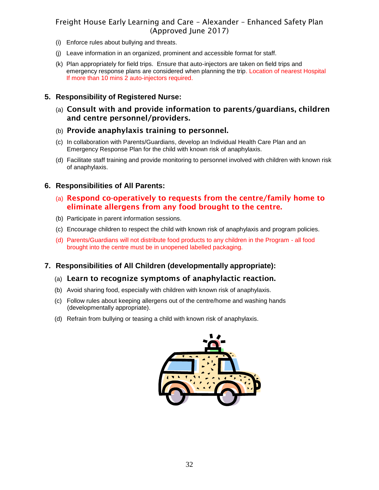- (i) Enforce rules about bullying and threats.
- (j) Leave information in an organized, prominent and accessible format for staff.
- (k) Plan appropriately for field trips. Ensure that auto-injectors are taken on field trips and emergency response plans are considered when planning the trip. Location of nearest Hospital If more than 10 mins 2 auto-injectors required.

## **5. Responsibility of Registered Nurse:**

- (a) **Consult with and provide information to parents/guardians, children and centre personnel/providers.**
- (b) **Provide anaphylaxis training to personnel.**
- (c) In collaboration with Parents/Guardians, develop an Individual Health Care Plan and an Emergency Response Plan for the child with known risk of anaphylaxis.
- (d) Facilitate staff training and provide monitoring to personnel involved with children with known risk of anaphylaxis.

### **6. Responsibilities of All Parents:**

- (a) **Respond co-operatively to requests from the centre/family home to eliminate allergens from any food brought to the centre.**
- (b) Participate in parent information sessions.
- (c) Encourage children to respect the child with known risk of anaphylaxis and program policies.
- (d) Parents/Guardians will not distribute food products to any children in the Program all food brought into the centre must be in unopened labelled packaging.

### **7. Responsibilities of All Children (developmentally appropriate):**

#### (a) **Learn to recognize symptoms of anaphylactic reaction.**

- (b) Avoid sharing food, especially with children with known risk of anaphylaxis.
- (c) Follow rules about keeping allergens out of the centre/home and washing hands (developmentally appropriate).
- (d) Refrain from bullying or teasing a child with known risk of anaphylaxis.

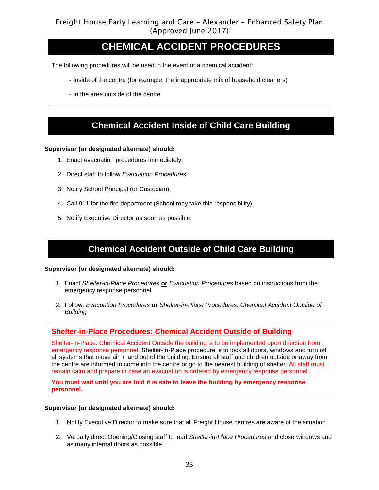## **CHEMICAL ACCIDENT PROCEDURES**

The following procedures will be used in the event of a chemical accident:

- inside of the centre (for example, the inappropriate mix of household cleaners)
- in the area outside of the centre

## **Chemical Accident Inside of Child Care Building**

#### **Supervisor (or designated alternate) should:**

- 1. Enact evacuation procedures immediately.
- 2. Direct staff to follow *Evacuation Procedures*.
- 3. Notify School Principal (or Custodian).
- 4. Call 911 for the fire department (School may take this responsibility).
- 5. Notify Executive Director as soon as possible.

## **Chemical Accident Outside of Child Care Building**

#### **Supervisor (or designated alternate) should:**

- 1. Enact *Shelter-in-Place Procedures* **or** *Evacuation Procedures* based on instructions from the emergency response personnel
- 2. Follow: *Evacuation Procedures* **or** *Shelter-in-Place Procedures: Chemical Accident Outside of Building*

#### **Shelter-in-Place Procedures: Chemical Accident Outside of Building**

Shelter-In-Place: Chemical Accident Outside the building is to be implemented upon direction from emergency response personnel. Shelter-In-Place procedure is to lock all doors, windows and turn off all systems that move air in and out of the building. Ensure all staff and children outside or away from the centre are informed to come into the centre or go to the nearest building of shelter. All staff must remain calm and prepare in case an evacuation is ordered by emergency response personnel.

**You must wait until you are told it is safe to leave the building by emergency response personnel.**

#### **Supervisor (or designated alternate) should:**

- 1. Notify Executive Director to make sure that all Freight House centres are aware of the situation.
- 2. Verbally direct Opening/Closing staff to lead *Shelter-in-Place Procedures* and close windows and as many internal doors as possible.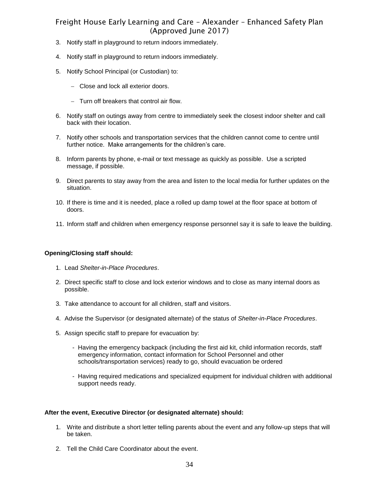- 3. Notify staff in playground to return indoors immediately.
- 4. Notify staff in playground to return indoors immediately.
- 5. Notify School Principal (or Custodian) to:
	- Close and lock all exterior doors.
	- Turn off breakers that control air flow.
- 6. Notify staff on outings away from centre to immediately seek the closest indoor shelter and call back with their location.
- 7. Notify other schools and transportation services that the children cannot come to centre until further notice. Make arrangements for the children's care.
- 8. Inform parents by phone, e-mail or text message as quickly as possible. Use a scripted message, if possible.
- 9. Direct parents to stay away from the area and listen to the local media for further updates on the situation.
- 10. If there is time and it is needed, place a rolled up damp towel at the floor space at bottom of doors.
- 11. Inform staff and children when emergency response personnel say it is safe to leave the building.

#### **Opening/Closing staff should:**

- 1. Lead *Shelter-in-Place Procedures*.
- 2. Direct specific staff to close and lock exterior windows and to close as many internal doors as possible.
- 3. Take attendance to account for all children, staff and visitors.
- 4. Advise the Supervisor (or designated alternate) of the status of *Shelter-in-Place Procedures*.
- 5. Assign specific staff to prepare for evacuation by:
	- Having the emergency backpack (including the first aid kit, child information records, staff emergency information, contact information for School Personnel and other schools/transportation services) ready to go, should evacuation be ordered
	- Having required medications and specialized equipment for individual children with additional support needs ready.

#### **After the event, Executive Director (or designated alternate) should:**

- 1. Write and distribute a short letter telling parents about the event and any follow-up steps that will be taken.
- 2. Tell the Child Care Coordinator about the event.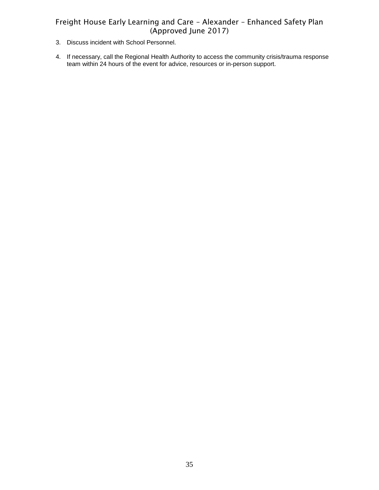- 3. Discuss incident with School Personnel.
- 4. If necessary, call the Regional Health Authority to access the community crisis/trauma response team within 24 hours of the event for advice, resources or in-person support.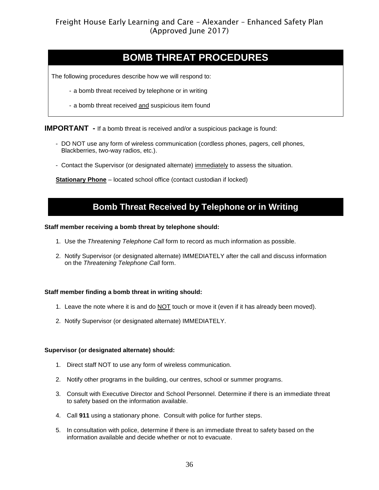## **BOMB THREAT PROCEDURES**

The following procedures describe how we will respond to:

- a bomb threat received by telephone or in writing
- a bomb threat received and suspicious item found

**IMPORTANT -** If a bomb threat is received and/or a suspicious package is found:

- DO NOT use any form of wireless communication (cordless phones, pagers, cell phones, Blackberries, two-way radios, etc.).
- Contact the Supervisor (or designated alternate) immediately to assess the situation.

**Stationary Phone** – located school office (contact custodian if locked)

## **Bomb Threat Received by Telephone or in Writing**

#### **Staff member receiving a bomb threat by telephone should:**

- 1. Use the *Threatening Telephone Call* form to record as much information as possible.
- 2. Notify Supervisor (or designated alternate) IMMEDIATELY after the call and discuss information on the *Threatening Telephone Call* form.

#### **Staff member finding a bomb threat in writing should:**

- 1. Leave the note where it is and do NOT touch or move it (even if it has already been moved).
- 2. Notify Supervisor (or designated alternate) IMMEDIATELY.

#### **Supervisor (or designated alternate) should:**

- 1. Direct staff NOT to use any form of wireless communication.
- 2. Notify other programs in the building, our centres, school or summer programs.
- 3. Consult with Executive Director and School Personnel. Determine if there is an immediate threat to safety based on the information available.
- 4. Call **911** using a stationary phone. Consult with police for further steps.
- 5. In consultation with police, determine if there is an immediate threat to safety based on the information available and decide whether or not to evacuate.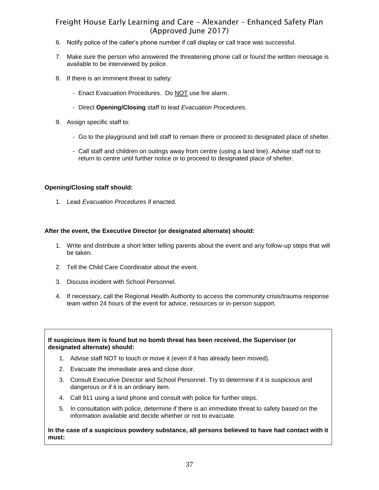- 6. Notify police of the caller's phone number if call display or call trace was successful.
- 7. Make sure the person who answered the threatening phone call or found the written message is available to be interviewed by police.
- 8. If there is an imminent threat to safety:
	- Enact Evacuation Procedures. Do NOT use fire alarm.
	- Direct **Opening/Closing** staff to lead *Evacuation Procedures*.
- 9. Assign specific staff to:
	- Go to the playground and tell staff to remain there or proceed to designated place of shelter.
	- Call staff and children on outings away from centre (using a land line). Advise staff not to return to centre until further notice or to proceed to designated place of shelter.

#### **Opening/Closing staff should:**

1. Lead *Evacuation Procedures* if enacted.

#### **After the event, the Executive Director (or designated alternate) should:**

- 1. Write and distribute a short letter telling parents about the event and any follow-up steps that will be taken.
- 2. Tell the Child Care Coordinator about the event.
- 3. Discuss incident with School Personnel.
- 4. If necessary, call the Regional Health Authority to access the community crisis/trauma response team within 24 hours of the event for advice, resources or in-person support.

#### **If suspicious item is found but no bomb threat has been received, the Supervisor (or designated alternate) should:**

- 1. Advise staff NOT to touch or move it (even if it has already been moved).
- 2. Evacuate the immediate area and close door.
- 3. Consult Executive Director and School Personnel. Try to determine if it is suspicious and dangerous or if it is an ordinary item.
- 4. Call 911 using a land phone and consult with police for further steps.
- 5. In consultation with police, determine if there is an immediate threat to safety based on the information available and decide whether or not to evacuate.

**In the case of a suspicious powdery substance, all persons believed to have had contact with it must:**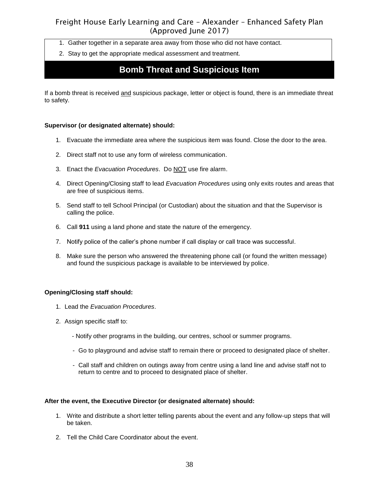- 1. Gather together in a separate area away from those who did not have contact.
- 2. Stay to get the appropriate medical assessment and treatment.

## **Bomb Threat and Suspicious Item**

If a bomb threat is received and suspicious package, letter or object is found, there is an immediate threat to safety.

#### **Supervisor (or designated alternate) should:**

- 1. Evacuate the immediate area where the suspicious item was found. Close the door to the area.
- 2. Direct staff not to use any form of wireless communication.
- 3. Enact the *Evacuation Procedures*. Do NOT use fire alarm.
- 4. Direct Opening/Closing staff to lead *Evacuation Procedures* using only exits routes and areas that are free of suspicious items.
- 5. Send staff to tell School Principal (or Custodian) about the situation and that the Supervisor is calling the police.
- 6. Call **911** using a land phone and state the nature of the emergency.
- 7. Notify police of the caller's phone number if call display or call trace was successful.
- 8. Make sure the person who answered the threatening phone call (or found the written message) and found the suspicious package is available to be interviewed by police.

#### **Opening/Closing staff should:**

- 1. Lead the *Evacuation Procedures*.
- 2. Assign specific staff to:
	- Notify other programs in the building, our centres, school or summer programs.
	- Go to playground and advise staff to remain there or proceed to designated place of shelter.
	- Call staff and children on outings away from centre using a land line and advise staff not to return to centre and to proceed to designated place of shelter.

#### **After the event, the Executive Director (or designated alternate) should:**

- 1. Write and distribute a short letter telling parents about the event and any follow-up steps that will be taken.
- 2. Tell the Child Care Coordinator about the event.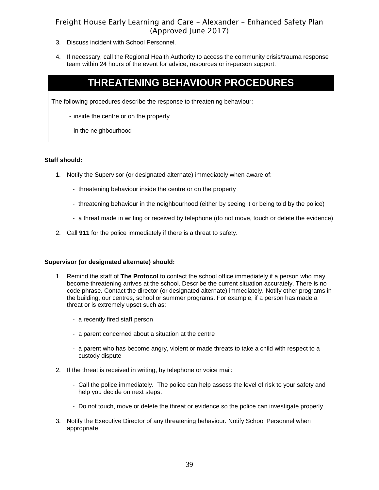- 3. Discuss incident with School Personnel.
- 4. If necessary, call the Regional Health Authority to access the community crisis/trauma response team within 24 hours of the event for advice, resources or in-person support.

## **THREATENING BEHAVIOUR PROCEDURES**

The following procedures describe the response to threatening behaviour:

- inside the centre or on the property
- in the neighbourhood

#### **Staff should:**

- 1. Notify the Supervisor (or designated alternate) immediately when aware of:
	- threatening behaviour inside the centre or on the property
	- threatening behaviour in the neighbourhood (either by seeing it or being told by the police)
	- a threat made in writing or received by telephone (do not move, touch or delete the evidence)
- 2. Call **911** for the police immediately if there is a threat to safety.

#### **Supervisor (or designated alternate) should:**

- 1. Remind the staff of **The Protocol** to contact the school office immediately if a person who may become threatening arrives at the school. Describe the current situation accurately. There is no code phrase. Contact the director (or designated alternate) immediately. Notify other programs in the building, our centres, school or summer programs. For example, if a person has made a threat or is extremely upset such as:
	- a recently fired staff person
	- a parent concerned about a situation at the centre
	- a parent who has become angry, violent or made threats to take a child with respect to a custody dispute
- 2. If the threat is received in writing, by telephone or voice mail:
	- Call the police immediately. The police can help assess the level of risk to your safety and help you decide on next steps.
	- Do not touch, move or delete the threat or evidence so the police can investigate properly.
- 3. Notify the Executive Director of any threatening behaviour. Notify School Personnel when appropriate.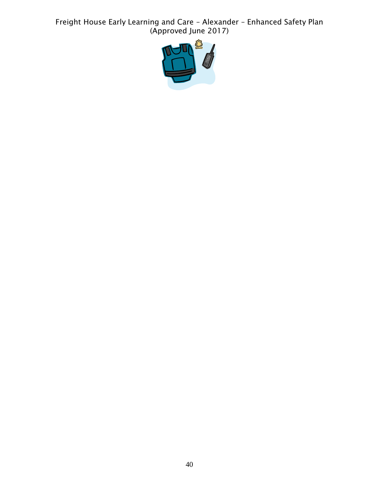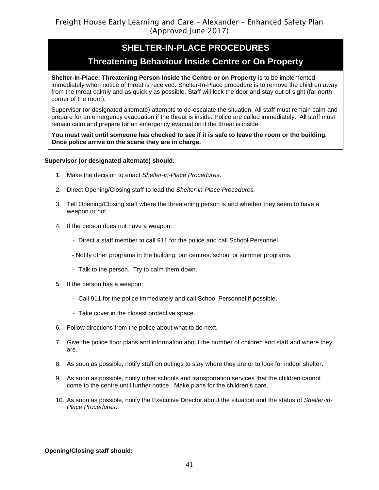## **SHELTER-IN-PLACE PROCEDURES**

## **Threatening Behaviour Inside Centre or On Property**

**Shelter-In-Place: Threatening Person Inside the Centre or on Property** is to be implemented immediately when notice of threat is received. Shelter-In-Place procedure is to remove the children away from the threat calmly and as quickly as possible. Staff will lock the door and stay out of sight (far north corner of the room).

Supervisor (or designated alternate) attempts to de-escalate the situation. All staff must remain calm and prepare for an emergency evacuation if the threat is inside. Police are called immediately. All staff must remain calm and prepare for an emergency evacuation if the threat is inside.

**You must wait until someone has checked to see if it is safe to leave the room or the building. Once police arrive on the scene they are in charge.**

#### **Supervisor (or designated alternate) should:**

- 1. Make the decision to enact *Shelter-in-Place Procedures*.
- 2. Direct Opening/Closing staff to lead the *Shelter-in-Place Procedures.*
- 3. Tell Opening/Closing staff where the threatening person is and whether they seem to have a weapon or not.
- 4. If the person does not have a weapon:
	- Direct a staff member to call 911 for the police and call School Personnel.
	- Notify other programs in the building, our centres, school or summer programs.
	- Talk to the person. Try to calm them down.
- 5. If the person has a weapon:
	- Call 911 for the police immediately and call School Personnel if possible.
	- Take cover in the closest protective space.
- 6. Follow directions from the police about what to do next.
- 7. Give the police floor plans and information about the number of children and staff and where they are.
- 8. As soon as possible, notify staff on outings to stay where they are or to look for indoor shelter.
- 9. As soon as possible, notify other schools and transportation services that the children cannot come to the centre until further notice. Make plans for the children's care.
- 10. As soon as possible, notify the Executive Director about the situation and the status of *Shelter-in-Place Procedures*.

#### **Opening/Closing staff should:**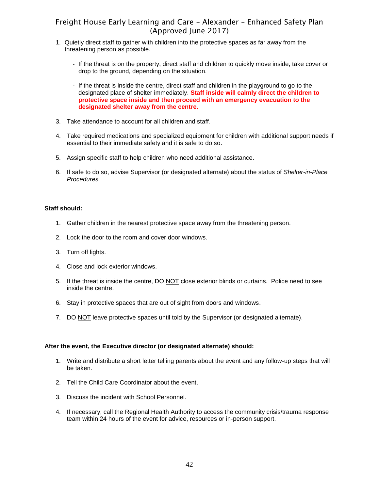- 1. Quietly direct staff to gather with children into the protective spaces as far away from the threatening person as possible.
	- If the threat is on the property, direct staff and children to quickly move inside, take cover or drop to the ground, depending on the situation.
	- If the threat is inside the centre, direct staff and children in the playground to go to the designated place of shelter immediately. **Staff inside will calmly direct the children to protective space inside and then proceed with an emergency evacuation to the designated shelter away from the centre.**
- 3. Take attendance to account for all children and staff.
- 4. Take required medications and specialized equipment for children with additional support needs if essential to their immediate safety and it is safe to do so.
- 5. Assign specific staff to help children who need additional assistance.
- 6. If safe to do so, advise Supervisor (or designated alternate) about the status of *Shelter-in-Place Procedures.*

#### **Staff should:**

- 1. Gather children in the nearest protective space away from the threatening person.
- 2. Lock the door to the room and cover door windows.
- 3. Turn off lights.
- 4. Close and lock exterior windows.
- 5. If the threat is inside the centre, DO NOT close exterior blinds or curtains. Police need to see inside the centre.
- 6. Stay in protective spaces that are out of sight from doors and windows.
- 7. DO NOT leave protective spaces until told by the Supervisor (or designated alternate).

#### **After the event, the Executive director (or designated alternate) should:**

- 1. Write and distribute a short letter telling parents about the event and any follow-up steps that will be taken.
- 2. Tell the Child Care Coordinator about the event.
- 3. Discuss the incident with School Personnel.
- 4. If necessary, call the Regional Health Authority to access the community crisis/trauma response team within 24 hours of the event for advice, resources or in-person support.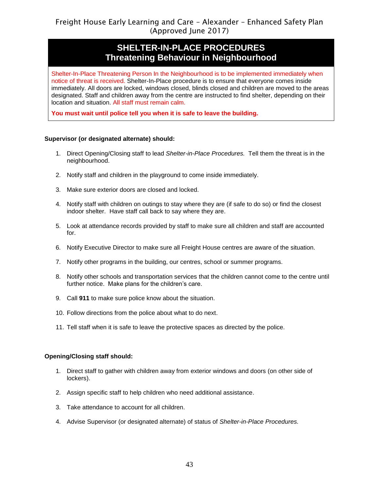## **SHELTER-IN-PLACE PROCEDURES Threatening Behaviour in Neighbourhood**

Shelter-In-Place Threatening Person In the Neighbourhood is to be implemented immediately when notice of threat is received. Shelter-In-Place procedure is to ensure that everyone comes inside immediately. All doors are locked, windows closed, blinds closed and children are moved to the areas designated. Staff and children away from the centre are instructed to find shelter, depending on their location and situation. All staff must remain calm.

**You must wait until police tell you when it is safe to leave the building.**

#### **Supervisor (or designated alternate) should:**

- 1. Direct Opening/Closing staff to lead *Shelter-in-Place Procedures.* Tell them the threat is in the neighbourhood.
- 2. Notify staff and children in the playground to come inside immediately.
- 3. Make sure exterior doors are closed and locked.
- 4. Notify staff with children on outings to stay where they are (if safe to do so) or find the closest indoor shelter. Have staff call back to say where they are.
- 5. Look at attendance records provided by staff to make sure all children and staff are accounted for.
- 6. Notify Executive Director to make sure all Freight House centres are aware of the situation.
- 7. Notify other programs in the building, our centres, school or summer programs.
- 8. Notify other schools and transportation services that the children cannot come to the centre until further notice. Make plans for the children's care.
- 9. Call **911** to make sure police know about the situation.
- 10. Follow directions from the police about what to do next.
- 11. Tell staff when it is safe to leave the protective spaces as directed by the police.

#### **Opening/Closing staff should:**

- 1. Direct staff to gather with children away from exterior windows and doors (on other side of lockers).
- 2. Assign specific staff to help children who need additional assistance.
- 3. Take attendance to account for all children.
- 4. Advise Supervisor (or designated alternate) of status of *Shelter-in-Place Procedures.*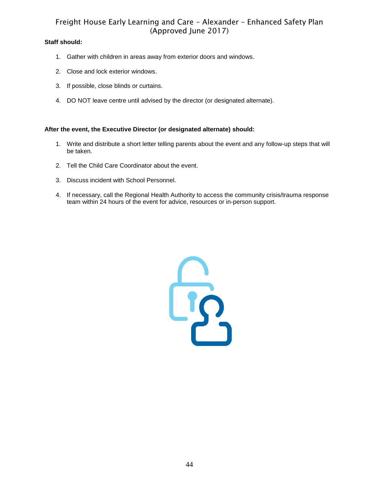#### **Staff should:**

- 1. Gather with children in areas away from exterior doors and windows.
- 2. Close and lock exterior windows.
- 3. If possible, close blinds or curtains.
- 4. DO NOT leave centre until advised by the director (or designated alternate).

#### **After the event, the Executive Director (or designated alternate) should:**

- 1. Write and distribute a short letter telling parents about the event and any follow-up steps that will be taken.
- 2. Tell the Child Care Coordinator about the event.
- 3. Discuss incident with School Personnel.
- 4. If necessary, call the Regional Health Authority to access the community crisis/trauma response team within 24 hours of the event for advice, resources or in-person support.

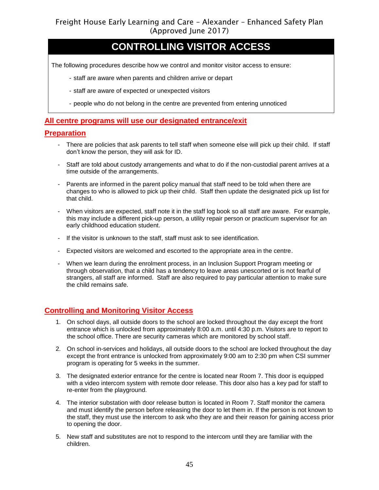## **CONTROLLING VISITOR ACCESS**

The following procedures describe how we control and monitor visitor access to ensure:

- staff are aware when parents and children arrive or depart
- staff are aware of expected or unexpected visitors
- people who do not belong in the centre are prevented from entering unnoticed

#### **All centre programs will use our designated entrance/exit**

#### **Preparation**

- There are policies that ask parents to tell staff when someone else will pick up their child. If staff don't know the person, they will ask for ID.
- Staff are told about custody arrangements and what to do if the non-custodial parent arrives at a time outside of the arrangements.
- Parents are informed in the parent policy manual that staff need to be told when there are changes to who is allowed to pick up their child. Staff then update the designated pick up list for that child.
- When visitors are expected, staff note it in the staff log book so all staff are aware. For example, this may include a different pick-up person, a utility repair person or practicum supervisor for an early childhood education student.
- If the visitor is unknown to the staff, staff must ask to see identification.
- Expected visitors are welcomed and escorted to the appropriate area in the centre.
- When we learn during the enrolment process, in an Inclusion Support Program meeting or through observation, that a child has a tendency to leave areas unescorted or is not fearful of strangers, all staff are informed. Staff are also required to pay particular attention to make sure the child remains safe.

### **Controlling and Monitoring Visitor Access**

- 1. On school days, all outside doors to the school are locked throughout the day except the front entrance which is unlocked from approximately 8:00 a.m. until 4:30 p.m. Visitors are to report to the school office. There are security cameras which are monitored by school staff.
- 2. On school in-services and holidays, all outside doors to the school are locked throughout the day except the front entrance is unlocked from approximately 9:00 am to 2:30 pm when CSI summer program is operating for 5 weeks in the summer.
- 3. The designated exterior entrance for the centre is located near Room 7. This door is equipped with a video intercom system with remote door release. This door also has a key pad for staff to re-enter from the playground.
- 4. The interior substation with door release button is located in Room 7. Staff monitor the camera and must identify the person before releasing the door to let them in. If the person is not known to the staff, they must use the intercom to ask who they are and their reason for gaining access prior to opening the door.
- 5. New staff and substitutes are not to respond to the intercom until they are familiar with the children.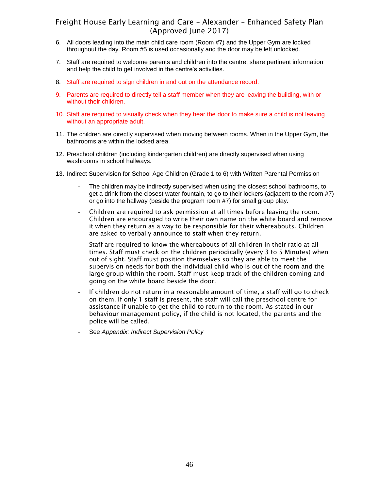- 6. All doors leading into the main child care room (Room #7) and the Upper Gym are locked throughout the day. Room #5 is used occasionally and the door may be left unlocked.
- 7. Staff are required to welcome parents and children into the centre, share pertinent information and help the child to get involved in the centre's activities.
- 8. Staff are required to sign children in and out on the attendance record.
- 9. Parents are required to directly tell a staff member when they are leaving the building, with or without their children.
- 10. Staff are required to visually check when they hear the door to make sure a child is not leaving without an appropriate adult.
- 11. The children are directly supervised when moving between rooms. When in the Upper Gym, the bathrooms are within the locked area.
- 12. Preschool children (including kindergarten children) are directly supervised when using washrooms in school hallways.
- 13. Indirect Supervision for School Age Children (Grade 1 to 6) with Written Parental Permission
	- The children may be indirectly supervised when using the closest school bathrooms, to get a drink from the closest water fountain, to go to their lockers (adjacent to the room #7) or go into the hallway (beside the program room #7) for small group play.
	- Children are required to ask permission at all times before leaving the room. Children are encouraged to write their own name on the white board and remove it when they return as a way to be responsible for their whereabouts. Children are asked to verbally announce to staff when they return.
	- Staff are required to know the whereabouts of all children in their ratio at all times. Staff must check on the children periodically (every 3 to 5 Minutes) when out of sight. Staff must position themselves so they are able to meet the supervision needs for both the individual child who is out of the room and the large group within the room. Staff must keep track of the children coming and going on the white board beside the door.
	- If children do not return in a reasonable amount of time, a staff will go to check on them. If only 1 staff is present, the staff will call the preschool centre for assistance if unable to get the child to return to the room. As stated in our behaviour management policy, if the child is not located, the parents and the police will be called.
	- See *Appendix: Indirect Supervision Policy*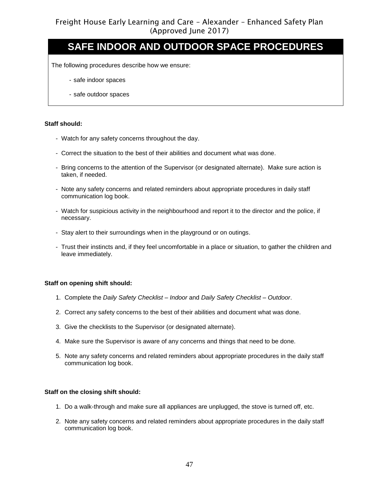## **SAFE INDOOR AND OUTDOOR SPACE PROCEDURES**

The following procedures describe how we ensure:

- safe indoor spaces
- safe outdoor spaces

#### **Staff should:**

- Watch for any safety concerns throughout the day.
- Correct the situation to the best of their abilities and document what was done.
- Bring concerns to the attention of the Supervisor (or designated alternate). Make sure action is taken, if needed.
- Note any safety concerns and related reminders about appropriate procedures in daily staff communication log book.
- Watch for suspicious activity in the neighbourhood and report it to the director and the police, if necessary.
- Stay alert to their surroundings when in the playground or on outings.
- Trust their instincts and, if they feel uncomfortable in a place or situation, to gather the children and leave immediately.

#### **Staff on opening shift should:**

- 1. Complete the *Daily Safety Checklist – Indoor* and *Daily Safety Checklist – Outdoor*.
- 2. Correct any safety concerns to the best of their abilities and document what was done.
- 3. Give the checklists to the Supervisor (or designated alternate).
- 4. Make sure the Supervisor is aware of any concerns and things that need to be done.
- 5. Note any safety concerns and related reminders about appropriate procedures in the daily staff communication log book.

#### **Staff on the closing shift should:**

- 1. Do a walk-through and make sure all appliances are unplugged, the stove is turned off, etc.
- 2. Note any safety concerns and related reminders about appropriate procedures in the daily staff communication log book.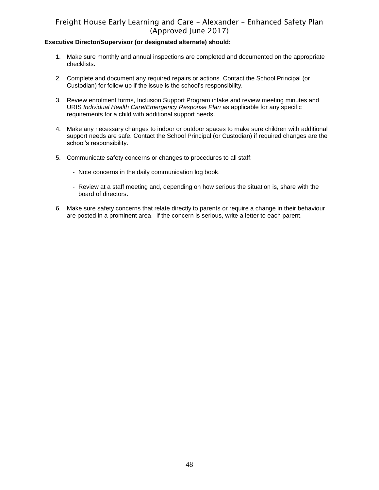#### **Executive Director/Supervisor (or designated alternate) should:**

- 1. Make sure monthly and annual inspections are completed and documented on the appropriate checklists.
- 2. Complete and document any required repairs or actions. Contact the School Principal (or Custodian) for follow up if the issue is the school's responsibility.
- 3. Review enrolment forms, Inclusion Support Program intake and review meeting minutes and URIS *Individual Health Care/Emergency Response Plan* as applicable for any specific requirements for a child with additional support needs.
- 4. Make any necessary changes to indoor or outdoor spaces to make sure children with additional support needs are safe. Contact the School Principal (or Custodian) if required changes are the school's responsibility.
- 5. Communicate safety concerns or changes to procedures to all staff:
	- Note concerns in the daily communication log book.
	- Review at a staff meeting and, depending on how serious the situation is, share with the board of directors.
- 6. Make sure safety concerns that relate directly to parents or require a change in their behaviour are posted in a prominent area. If the concern is serious, write a letter to each parent.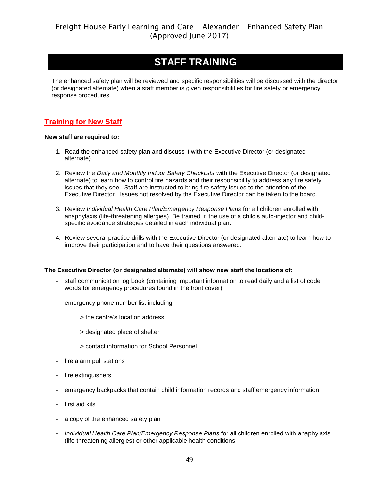## **STAFF TRAINING**

The enhanced safety plan will be reviewed and specific responsibilities will be discussed with the director (or designated alternate) when a staff member is given responsibilities for fire safety or emergency response procedures.

## **Training for New Staff**

#### **New staff are required to:**

- 1. Read the enhanced safety plan and discuss it with the Executive Director (or designated alternate).
- 2. Review the *Daily and Monthly Indoor Safety Checklists* with the Executive Director (or designated alternate) to learn how to control fire hazards and their responsibility to address any fire safety issues that they see. Staff are instructed to bring fire safety issues to the attention of the Executive Director. Issues not resolved by the Executive Director can be taken to the board.
- 3. Review *Individual Health Care Plan/Emergency Response Plans* for all children enrolled with anaphylaxis (life-threatening allergies). Be trained in the use of a child's auto-injector and childspecific avoidance strategies detailed in each individual plan.
- 4. Review several practice drills with the Executive Director (or designated alternate) to learn how to improve their participation and to have their questions answered.

#### **The Executive Director (or designated alternate) will show new staff the locations of:**

- staff communication log book (containing important information to read daily and a list of code words for emergency procedures found in the front cover)
- emergency phone number list including:
	- > the centre's location address
	- > designated place of shelter
	- > contact information for School Personnel
- fire alarm pull stations
- fire extinguishers
- emergency backpacks that contain child information records and staff emergency information
- first aid kits
- a copy of the enhanced safety plan
- *Individual Health Care Plan/Emergency Response Plans* for all children enrolled with anaphylaxis (life-threatening allergies) or other applicable health conditions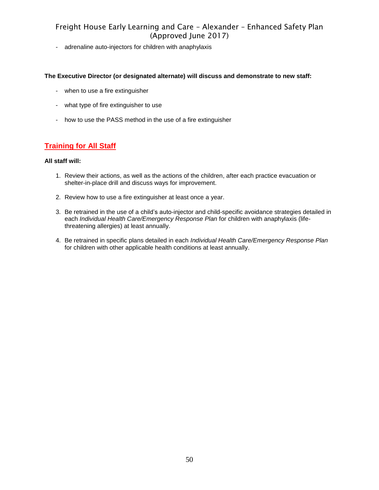- adrenaline auto-injectors for children with anaphylaxis

#### **The Executive Director (or designated alternate) will discuss and demonstrate to new staff:**

- when to use a fire extinguisher
- what type of fire extinguisher to use
- how to use the PASS method in the use of a fire extinguisher

### **Training for All Staff**

#### **All staff will:**

- 1. Review their actions, as well as the actions of the children, after each practice evacuation or shelter-in-place drill and discuss ways for improvement.
- 2. Review how to use a fire extinguisher at least once a year.
- 3. Be retrained in the use of a child's auto-injector and child-specific avoidance strategies detailed in each *Individual Health Care/Emergency Response Plan* for children with anaphylaxis (lifethreatening allergies) at least annually.
- 4. Be retrained in specific plans detailed in each *Individual Health Care/Emergency Response Plan*  for children with other applicable health conditions at least annually.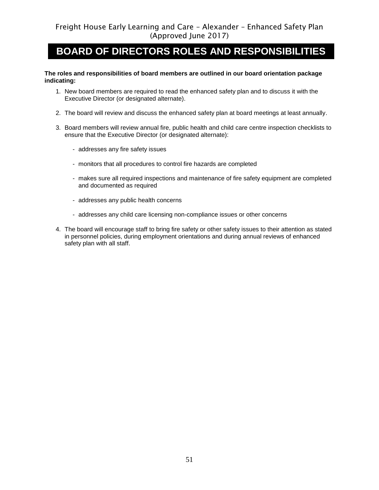## **BOARD OF DIRECTORS ROLES AND RESPONSIBILITIES**

#### **The roles and responsibilities of board members are outlined in our board orientation package indicating:**

- 1. New board members are required to read the enhanced safety plan and to discuss it with the Executive Director (or designated alternate).
- 2. The board will review and discuss the enhanced safety plan at board meetings at least annually.
- 3. Board members will review annual fire, public health and child care centre inspection checklists to ensure that the Executive Director (or designated alternate):
	- addresses any fire safety issues
	- monitors that all procedures to control fire hazards are completed
	- makes sure all required inspections and maintenance of fire safety equipment are completed and documented as required
	- addresses any public health concerns
	- addresses any child care licensing non-compliance issues or other concerns
- 4. The board will encourage staff to bring fire safety or other safety issues to their attention as stated in personnel policies, during employment orientations and during annual reviews of enhanced safety plan with all staff.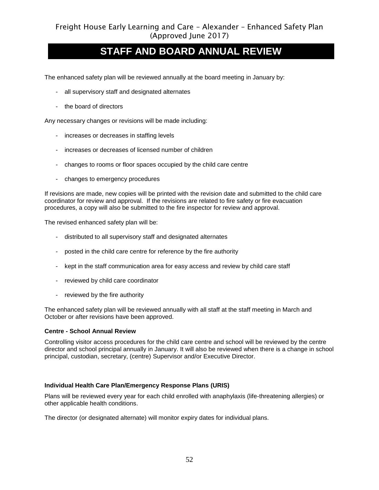## **STAFF AND BOARD ANNUAL REVIEW**

The enhanced safety plan will be reviewed annually at the board meeting in January by:

- all supervisory staff and designated alternates
- the board of directors

Any necessary changes or revisions will be made including:

- increases or decreases in staffing levels
- increases or decreases of licensed number of children
- changes to rooms or floor spaces occupied by the child care centre
- changes to emergency procedures

If revisions are made, new copies will be printed with the revision date and submitted to the child care coordinator for review and approval. If the revisions are related to fire safety or fire evacuation procedures, a copy will also be submitted to the fire inspector for review and approval.

The revised enhanced safety plan will be:

- distributed to all supervisory staff and designated alternates
- posted in the child care centre for reference by the fire authority
- kept in the staff communication area for easy access and review by child care staff
- reviewed by child care coordinator
- reviewed by the fire authority

The enhanced safety plan will be reviewed annually with all staff at the staff meeting in March and October or after revisions have been approved.

#### **Centre - School Annual Review**

Controlling visitor access procedures for the child care centre and school will be reviewed by the centre director and school principal annually in January. It will also be reviewed when there is a change in school principal, custodian, secretary, (centre) Supervisor and/or Executive Director.

#### **Individual Health Care Plan/Emergency Response Plans (URIS)**

Plans will be reviewed every year for each child enrolled with anaphylaxis (life-threatening allergies) or other applicable health conditions.

The director (or designated alternate) will monitor expiry dates for individual plans.